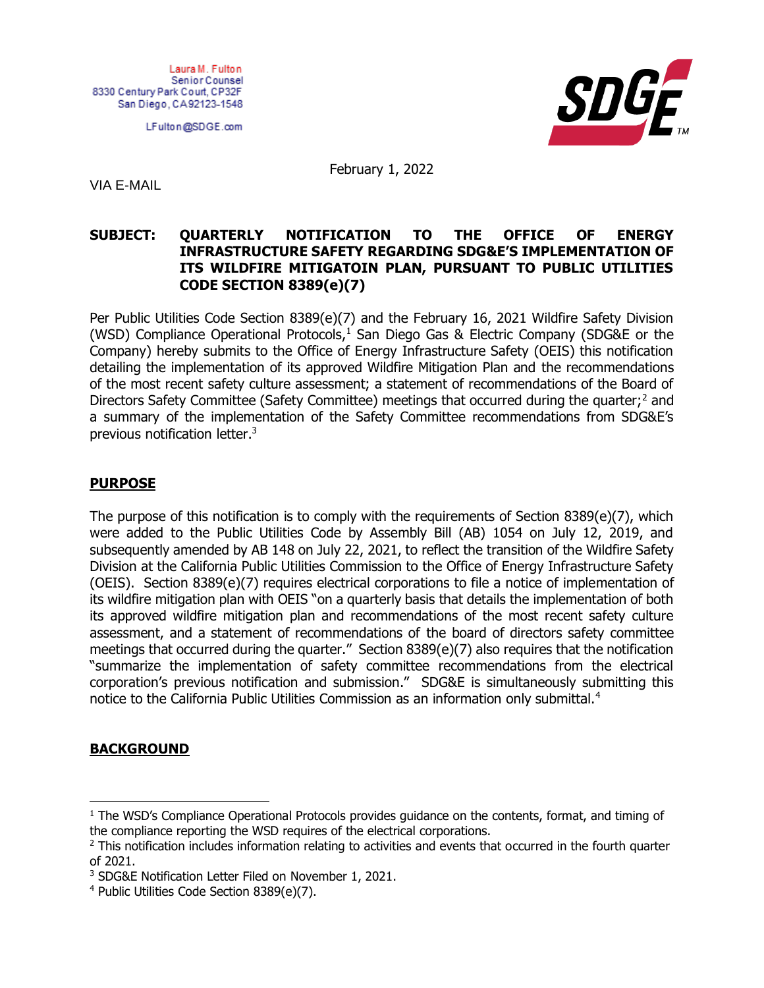Laura M. Fulton Senior Counsel 8330 Century Park Court, CP32F San Diego, CA92123-1548

LFulton@SDGE.com



February 1, 2022

VIA E-MAIL

## **SUBJECT: QUARTERLY NOTIFICATION TO THE OFFICE OF ENERGY INFRASTRUCTURE SAFETY REGARDING SDG&E'S IMPLEMENTATION OF ITS WILDFIRE MITIGATOIN PLAN, PURSUANT TO PUBLIC UTILITIES CODE SECTION 8389(e)(7)**

Per Public Utilities Code Section 8389(e)(7) and the February 16, 2021 Wildfire Safety Division (WSD) Compliance Operational Protocols, $<sup>1</sup>$  San Diego Gas & Electric Company (SDG&E or the</sup> Company) hereby submits to the Office of Energy Infrastructure Safety (OEIS) this notification detailing the implementation of its approved Wildfire Mitigation Plan and the recommendations of the most recent safety culture assessment; a statement of recommendations of the Board of Directors Safety Committee (Safety Committee) meetings that occurred during the quarter;<sup>2</sup> and a summary of the implementation of the Safety Committee recommendations from SDG&E's previous notification letter.<sup>3</sup>

## **PURPOSE**

The purpose of this notification is to comply with the requirements of Section 8389(e)(7), which were added to the Public Utilities Code by Assembly Bill (AB) 1054 on July 12, 2019, and subsequently amended by AB 148 on July 22, 2021, to reflect the transition of the Wildfire Safety Division at the California Public Utilities Commission to the Office of Energy Infrastructure Safety (OEIS). Section 8389(e)(7) requires electrical corporations to file a notice of implementation of its wildfire mitigation plan with OEIS "on a quarterly basis that details the implementation of both its approved wildfire mitigation plan and recommendations of the most recent safety culture assessment, and a statement of recommendations of the board of directors safety committee meetings that occurred during the quarter." Section 8389(e)(7) also requires that the notification "summarize the implementation of safety committee recommendations from the electrical corporation's previous notification and submission." SDG&E is simultaneously submitting this notice to the California Public Utilities Commission as an information only submittal.<sup>4</sup>

# **BACKGROUND**

<sup>&</sup>lt;sup>1</sup> The WSD's Compliance Operational Protocols provides quidance on the contents, format, and timing of the compliance reporting the WSD requires of the electrical corporations.

<sup>&</sup>lt;sup>2</sup> This notification includes information relating to activities and events that occurred in the fourth quarter of 2021.

<sup>3</sup> SDG&E Notification Letter Filed on November 1, 2021.

<sup>4</sup> Public Utilities Code Section 8389(e)(7).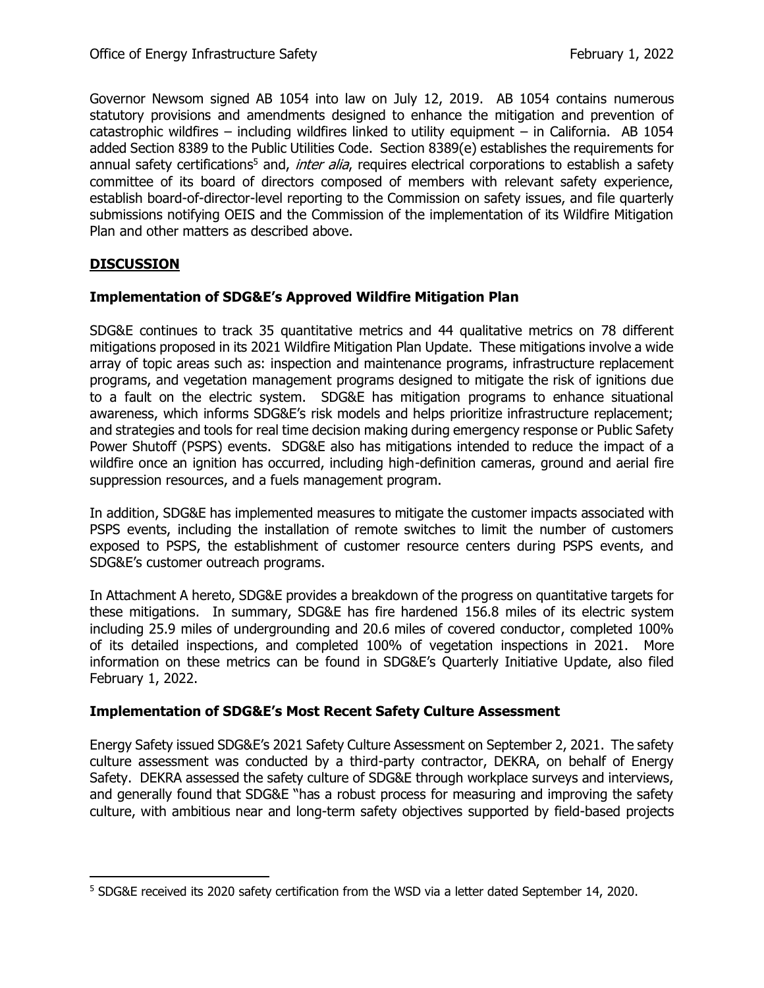Governor Newsom signed AB 1054 into law on July 12, 2019. AB 1054 contains numerous statutory provisions and amendments designed to enhance the mitigation and prevention of catastrophic wildfires – including wildfires linked to utility equipment – in California. AB 1054 added Section 8389 to the Public Utilities Code. Section 8389(e) establishes the requirements for annual safety certifications<sup>5</sup> and, *inter alia*, requires electrical corporations to establish a safety committee of its board of directors composed of members with relevant safety experience, establish board-of-director-level reporting to the Commission on safety issues, and file quarterly submissions notifying OEIS and the Commission of the implementation of its Wildfire Mitigation Plan and other matters as described above.

# **DISCUSSION**

#### **Implementation of SDG&E's Approved Wildfire Mitigation Plan**

SDG&E continues to track 35 quantitative metrics and 44 qualitative metrics on 78 different mitigations proposed in its 2021 Wildfire Mitigation Plan Update. These mitigations involve a wide array of topic areas such as: inspection and maintenance programs, infrastructure replacement programs, and vegetation management programs designed to mitigate the risk of ignitions due to a fault on the electric system. SDG&E has mitigation programs to enhance situational awareness, which informs SDG&E's risk models and helps prioritize infrastructure replacement; and strategies and tools for real time decision making during emergency response or Public Safety Power Shutoff (PSPS) events. SDG&E also has mitigations intended to reduce the impact of a wildfire once an ignition has occurred, including high-definition cameras, ground and aerial fire suppression resources, and a fuels management program.

In addition, SDG&E has implemented measures to mitigate the customer impacts associated with PSPS events, including the installation of remote switches to limit the number of customers exposed to PSPS, the establishment of customer resource centers during PSPS events, and SDG&E's customer outreach programs.

In Attachment A hereto, SDG&E provides a breakdown of the progress on quantitative targets for these mitigations. In summary, SDG&E has fire hardened 156.8 miles of its electric system including 25.9 miles of undergrounding and 20.6 miles of covered conductor, completed 100% of its detailed inspections, and completed 100% of vegetation inspections in 2021. More information on these metrics can be found in SDG&E's Quarterly Initiative Update, also filed February 1, 2022.

#### **Implementation of SDG&E's Most Recent Safety Culture Assessment**

Energy Safety issued SDG&E's 2021 Safety Culture Assessment on September 2, 2021. The safety culture assessment was conducted by a third-party contractor, DEKRA, on behalf of Energy Safety. DEKRA assessed the safety culture of SDG&E through workplace surveys and interviews, and generally found that SDG&E "has a robust process for measuring and improving the safety culture, with ambitious near and long-term safety objectives supported by field-based projects

<sup>5</sup> SDG&E received its 2020 safety certification from the WSD via a letter dated September 14, 2020.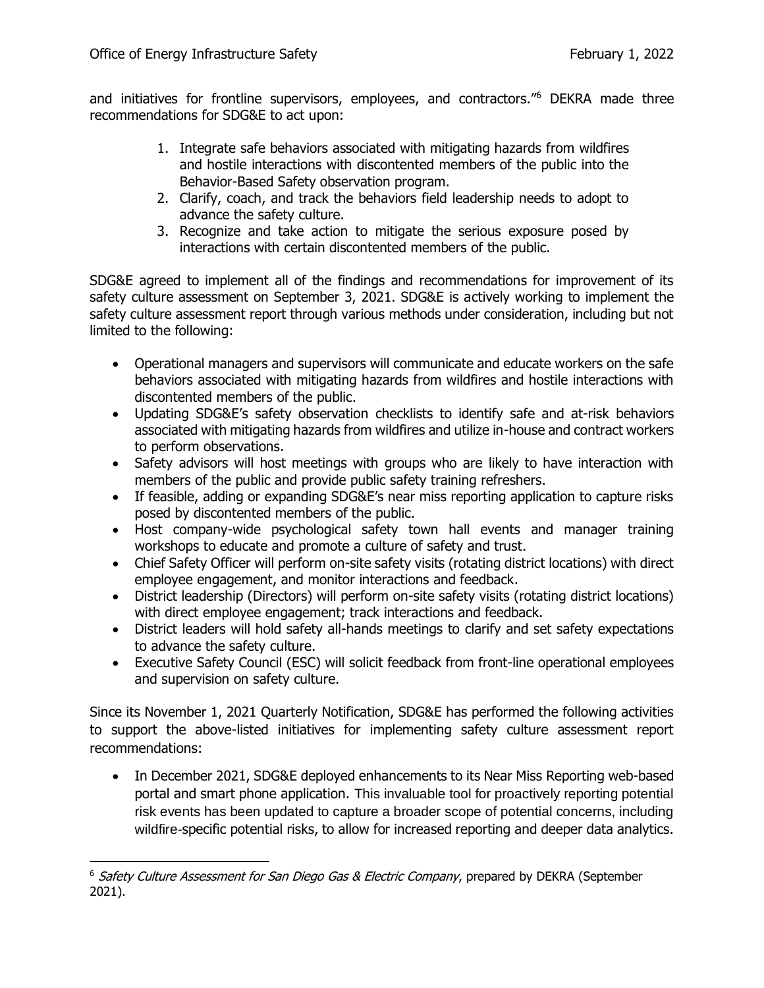and initiatives for frontline supervisors, employees, and contractors."<sup>6</sup> DEKRA made three recommendations for SDG&E to act upon:

- 1. Integrate safe behaviors associated with mitigating hazards from wildfires and hostile interactions with discontented members of the public into the Behavior-Based Safety observation program.
- 2. Clarify, coach, and track the behaviors field leadership needs to adopt to advance the safety culture.
- 3. Recognize and take action to mitigate the serious exposure posed by interactions with certain discontented members of the public.

SDG&E agreed to implement all of the findings and recommendations for improvement of its safety culture assessment on September 3, 2021. SDG&E is actively working to implement the safety culture assessment report through various methods under consideration, including but not limited to the following:

- Operational managers and supervisors will communicate and educate workers on the safe behaviors associated with mitigating hazards from wildfires and hostile interactions with discontented members of the public.
- Updating SDG&E's safety observation checklists to identify safe and at-risk behaviors associated with mitigating hazards from wildfires and utilize in-house and contract workers to perform observations.
- Safety advisors will host meetings with groups who are likely to have interaction with members of the public and provide public safety training refreshers.
- If feasible, adding or expanding SDG&E's near miss reporting application to capture risks posed by discontented members of the public.
- Host company-wide psychological safety town hall events and manager training workshops to educate and promote a culture of safety and trust.
- Chief Safety Officer will perform on-site safety visits (rotating district locations) with direct employee engagement, and monitor interactions and feedback.
- District leadership (Directors) will perform on-site safety visits (rotating district locations) with direct employee engagement; track interactions and feedback.
- District leaders will hold safety all-hands meetings to clarify and set safety expectations to advance the safety culture.
- Executive Safety Council (ESC) will solicit feedback from front-line operational employees and supervision on safety culture.

Since its November 1, 2021 Quarterly Notification, SDG&E has performed the following activities to support the above-listed initiatives for implementing safety culture assessment report recommendations:

• In December 2021, SDG&E deployed enhancements to its Near Miss Reporting web-based portal and smart phone application. This invaluable tool for proactively reporting potential risk events has been updated to capture a broader scope of potential concerns, including wildfire-specific potential risks, to allow for increased reporting and deeper data analytics.

 $6$  Safety Culture Assessment for San Diego Gas & Electric Company, prepared by DEKRA (September 2021).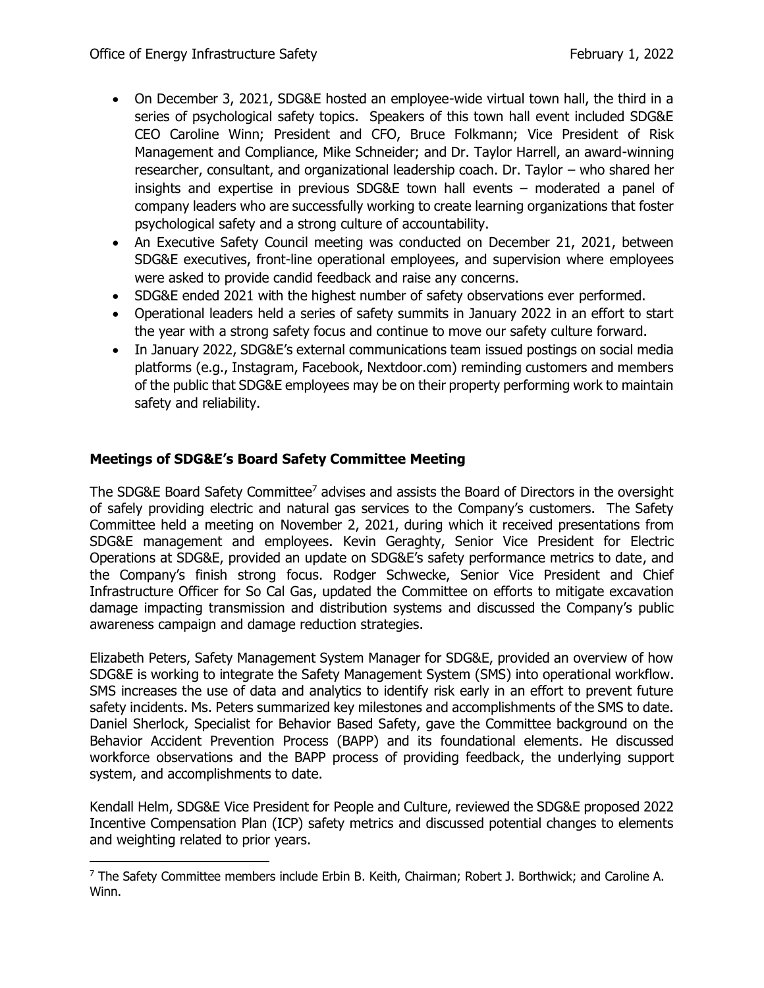- On December 3, 2021, SDG&E hosted an employee-wide virtual town hall, the third in a series of psychological safety topics. Speakers of this town hall event included SDG&E CEO Caroline Winn; President and CFO, Bruce Folkmann; Vice President of Risk Management and Compliance, Mike Schneider; and Dr. Taylor Harrell, an award-winning researcher, consultant, and organizational leadership coach. Dr. Taylor – who shared her insights and expertise in previous SDG&E town hall events – moderated a panel of company leaders who are successfully working to create learning organizations that foster psychological safety and a strong culture of accountability.
- An Executive Safety Council meeting was conducted on December 21, 2021, between SDG&E executives, front-line operational employees, and supervision where employees were asked to provide candid feedback and raise any concerns.
- SDG&E ended 2021 with the highest number of safety observations ever performed.
- Operational leaders held a series of safety summits in January 2022 in an effort to start the year with a strong safety focus and continue to move our safety culture forward.
- In January 2022, SDG&E's external communications team issued postings on social media platforms (e.g., Instagram, Facebook, Nextdoor.com) reminding customers and members of the public that SDG&E employees may be on their property performing work to maintain safety and reliability.

# **Meetings of SDG&E's Board Safety Committee Meeting**

The SDG&E Board Safety Committee<sup>7</sup> advises and assists the Board of Directors in the oversight of safely providing electric and natural gas services to the Company's customers. The Safety Committee held a meeting on November 2, 2021, during which it received presentations from SDG&E management and employees. Kevin Geraghty, Senior Vice President for Electric Operations at SDG&E, provided an update on SDG&E's safety performance metrics to date, and the Company's finish strong focus. Rodger Schwecke, Senior Vice President and Chief Infrastructure Officer for So Cal Gas, updated the Committee on efforts to mitigate excavation damage impacting transmission and distribution systems and discussed the Company's public awareness campaign and damage reduction strategies.

Elizabeth Peters, Safety Management System Manager for SDG&E, provided an overview of how SDG&E is working to integrate the Safety Management System (SMS) into operational workflow. SMS increases the use of data and analytics to identify risk early in an effort to prevent future safety incidents. Ms. Peters summarized key milestones and accomplishments of the SMS to date. Daniel Sherlock, Specialist for Behavior Based Safety, gave the Committee background on the Behavior Accident Prevention Process (BAPP) and its foundational elements. He discussed workforce observations and the BAPP process of providing feedback, the underlying support system, and accomplishments to date.

Kendall Helm, SDG&E Vice President for People and Culture, reviewed the SDG&E proposed 2022 Incentive Compensation Plan (ICP) safety metrics and discussed potential changes to elements and weighting related to prior years.

 $7$  The Safety Committee members include Erbin B. Keith, Chairman; Robert J. Borthwick; and Caroline A. Winn.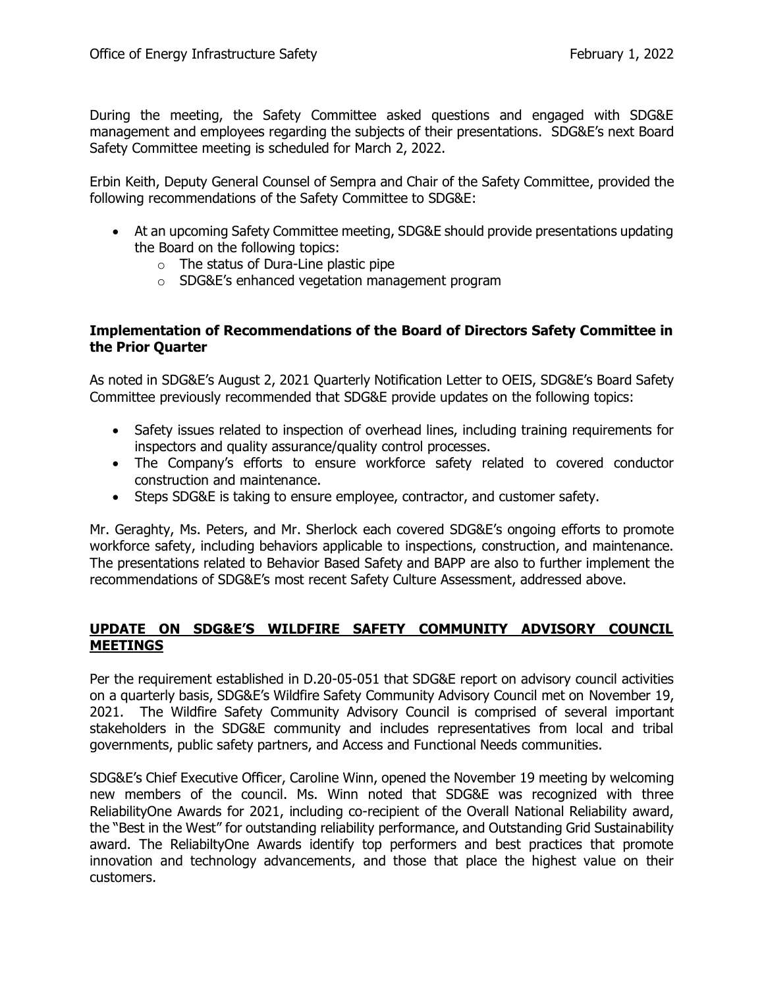During the meeting, the Safety Committee asked questions and engaged with SDG&E management and employees regarding the subjects of their presentations. SDG&E's next Board Safety Committee meeting is scheduled for March 2, 2022.

Erbin Keith, Deputy General Counsel of Sempra and Chair of the Safety Committee, provided the following recommendations of the Safety Committee to SDG&E:

- At an upcoming Safety Committee meeting, SDG&E should provide presentations updating the Board on the following topics:
	- $\circ$  The status of Dura-Line plastic pipe
	- o SDG&E's enhanced vegetation management program

#### **Implementation of Recommendations of the Board of Directors Safety Committee in the Prior Quarter**

As noted in SDG&E's August 2, 2021 Quarterly Notification Letter to OEIS, SDG&E's Board Safety Committee previously recommended that SDG&E provide updates on the following topics:

- Safety issues related to inspection of overhead lines, including training requirements for inspectors and quality assurance/quality control processes.
- The Company's efforts to ensure workforce safety related to covered conductor construction and maintenance.
- Steps SDG&E is taking to ensure employee, contractor, and customer safety.

Mr. Geraghty, Ms. Peters, and Mr. Sherlock each covered SDG&E's ongoing efforts to promote workforce safety, including behaviors applicable to inspections, construction, and maintenance. The presentations related to Behavior Based Safety and BAPP are also to further implement the recommendations of SDG&E's most recent Safety Culture Assessment, addressed above.

## **UPDATE ON SDG&E'S WILDFIRE SAFETY COMMUNITY ADVISORY COUNCIL MEETINGS**

Per the requirement established in D.20-05-051 that SDG&E report on advisory council activities on a quarterly basis, SDG&E's Wildfire Safety Community Advisory Council met on November 19, 2021. The Wildfire Safety Community Advisory Council is comprised of several important stakeholders in the SDG&E community and includes representatives from local and tribal governments, public safety partners, and Access and Functional Needs communities.

SDG&E's Chief Executive Officer, Caroline Winn, opened the November 19 meeting by welcoming new members of the council. Ms. Winn noted that SDG&E was recognized with three ReliabilityOne Awards for 2021, including co-recipient of the Overall National Reliability award, the "Best in the West" for outstanding reliability performance, and Outstanding Grid Sustainability award. The ReliabiltyOne Awards identify top performers and best practices that promote innovation and technology advancements, and those that place the highest value on their customers.